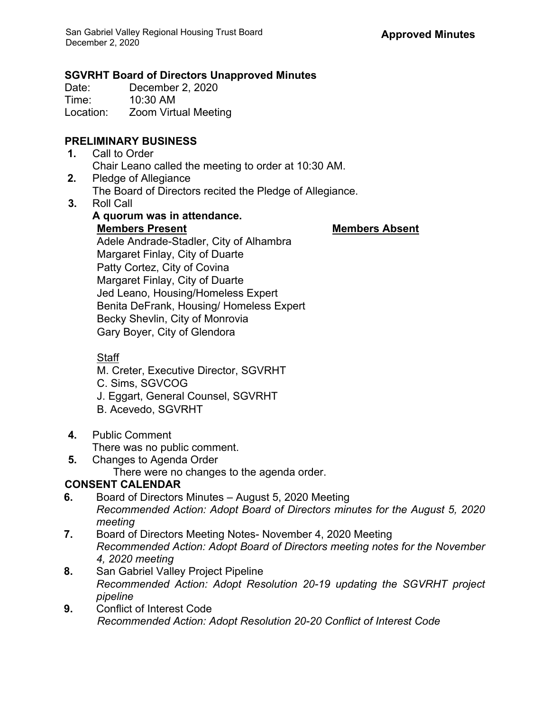**A quorum was in attendance.**

## **SGVRHT Board of Directors Unapproved Minutes**

Date: December 2, 2020<br>Time: 10:30 AM  $10:30$  AM

Location: Zoom Virtual Meeting

## **PRELIMINARY BUSINESS**

- **1.** Call to Order Chair Leano called the meeting to order at 10:30 AM.
- **2.** Pledge of Allegiance The Board of Directors recited the Pledge of Allegiance.
- **3.** Roll Call

**Members Present Members Absent** Adele Andrade-Stadler, City of Alhambra Margaret Finlay, City of Duarte Patty Cortez, City of Covina Margaret Finlay, City of Duarte Jed Leano, Housing/Homeless Expert Benita DeFrank, Housing/ Homeless Expert Becky Shevlin, City of Monrovia Gary Boyer, City of Glendora

## Staff

M. Creter, Executive Director, SGVRHT

- C. Sims, SGVCOG
- J. Eggart, General Counsel, SGVRHT
- B. Acevedo, SGVRHT
- **4.** Public Comment
	- There was no public comment.
- **5.** Changes to Agenda Order There were no changes to the agenda order.

# **CONSENT CALENDAR**

- **6.** Board of Directors Minutes August 5, 2020 Meeting *Recommended Action: Adopt Board of Directors minutes for the August 5, 2020 meeting*
- **7.** Board of Directors Meeting Notes- November 4, 2020 Meeting *Recommended Action: Adopt Board of Directors meeting notes for the November 4, 2020 meeting*
- **8.** San Gabriel Valley Project Pipeline *Recommended Action: Adopt Resolution 20-19 updating the SGVRHT project pipeline*
- **9.** Conflict of Interest Code *Recommended Action: Adopt Resolution 20-20 Conflict of Interest Code*